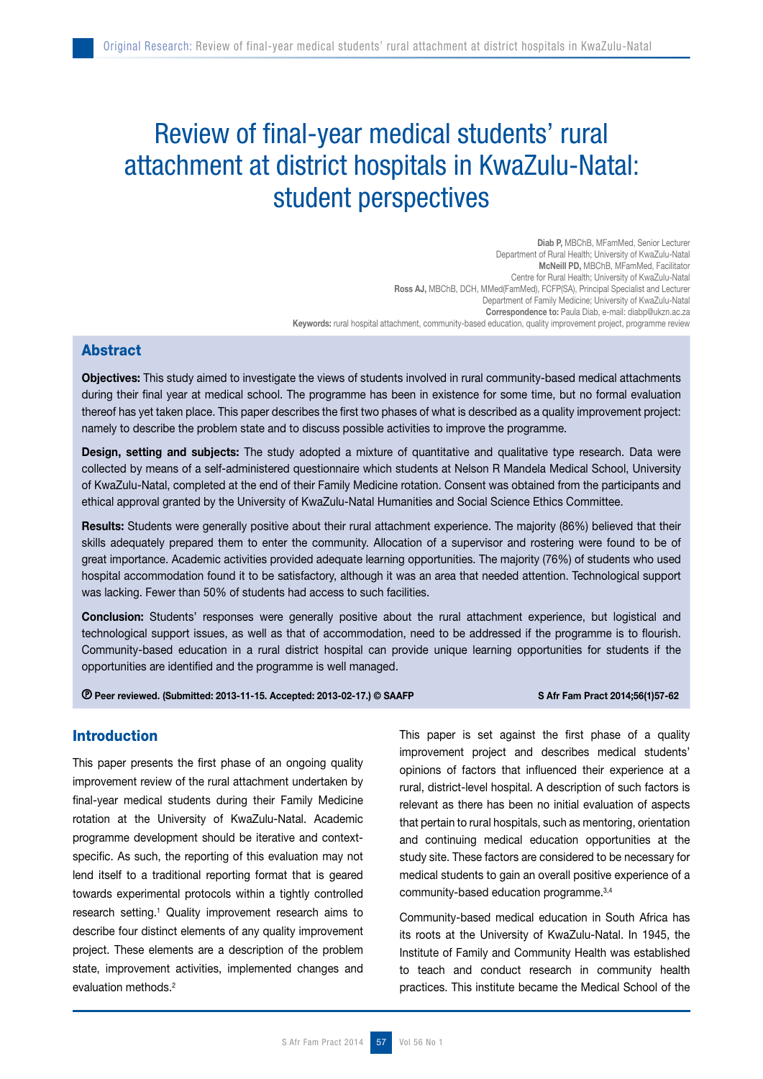# Review of final-year medical students' rural attachment at district hospitals in KwaZulu-Natal: student perspectives

Diab P, MBChB, MEamMed, Senior Lecturer Department of Rural Health; University of KwaZulu-Natal McNeill PD, MBChB, MFamMed, Facilitator Centre for Rural Health; University of KwaZulu-Natal Ross AJ, MBChB, DCH, MMed(FamMed), FCFP(SA), Principal Specialist and Lecturer Department of Family Medicine; University of KwaZulu-Natal Correspondence to: Paula Diab, e-mail: diabp@ukzn.ac.za Keywords: rural hospital attachment, community-based education, quality improvement project, programme review

# **Abstract**

Objectives: This study aimed to investigate the views of students involved in rural community-based medical attachments during their final year at medical school. The programme has been in existence for some time, but no formal evaluation thereof has yet taken place. This paper describes the first two phases of what is described as a quality improvement project: namely to describe the problem state and to discuss possible activities to improve the programme.

Design, setting and subjects: The study adopted a mixture of quantitative and qualitative type research. Data were collected by means of a self-administered questionnaire which students at Nelson R Mandela Medical School, University of KwaZulu-Natal, completed at the end of their Family Medicine rotation. Consent was obtained from the participants and ethical approval granted by the University of KwaZulu-Natal Humanities and Social Science Ethics Committee.

Results: Students were generally positive about their rural attachment experience. The majority (86%) believed that their skills adequately prepared them to enter the community. Allocation of a supervisor and rostering were found to be of great importance. Academic activities provided adequate learning opportunities. The majority (76%) of students who used hospital accommodation found it to be satisfactory, although it was an area that needed attention. Technological support was lacking. Fewer than 50% of students had access to such facilities.

Conclusion: Students' responses were generally positive about the rural attachment experience, but logistical and technological support issues, as well as that of accommodation, need to be addressed if the programme is to flourish. Community-based education in a rural district hospital can provide unique learning opportunities for students if the opportunities are identified and the programme is well managed.

 $\textcircled{P}$  Peer reviewed. (Submitted: 2013-11-15. Accepted: 2013-02-17.)  $\textcircled{S}$  SAAFP S Afr Fam Pract 2014;56(1)57-62

# Introduction

This paper presents the first phase of an ongoing quality improvement review of the rural attachment undertaken by final-year medical students during their Family Medicine rotation at the University of KwaZulu-Natal. Academic programme development should be iterative and contextspecific. As such, the reporting of this evaluation may not lend itself to a traditional reporting format that is geared towards experimental protocols within a tightly controlled research setting.<sup>1</sup> Quality improvement research aims to describe four distinct elements of any quality improvement project. These elements are a description of the problem state, improvement activities, implemented changes and evaluation methods.<sup>2</sup>

This paper is set against the first phase of a quality improvement project and describes medical students' opinions of factors that influenced their experience at a rural, district-level hospital. A description of such factors is relevant as there has been no initial evaluation of aspects that pertain to rural hospitals, such as mentoring, orientation and continuing medical education opportunities at the study site. These factors are considered to be necessary for medical students to gain an overall positive experience of a community-based education programme.3,4

Community-based medical education in South Africa has its roots at the University of KwaZulu-Natal. In 1945, the Institute of Family and Community Health was established to teach and conduct research in community health practices. This institute became the Medical School of the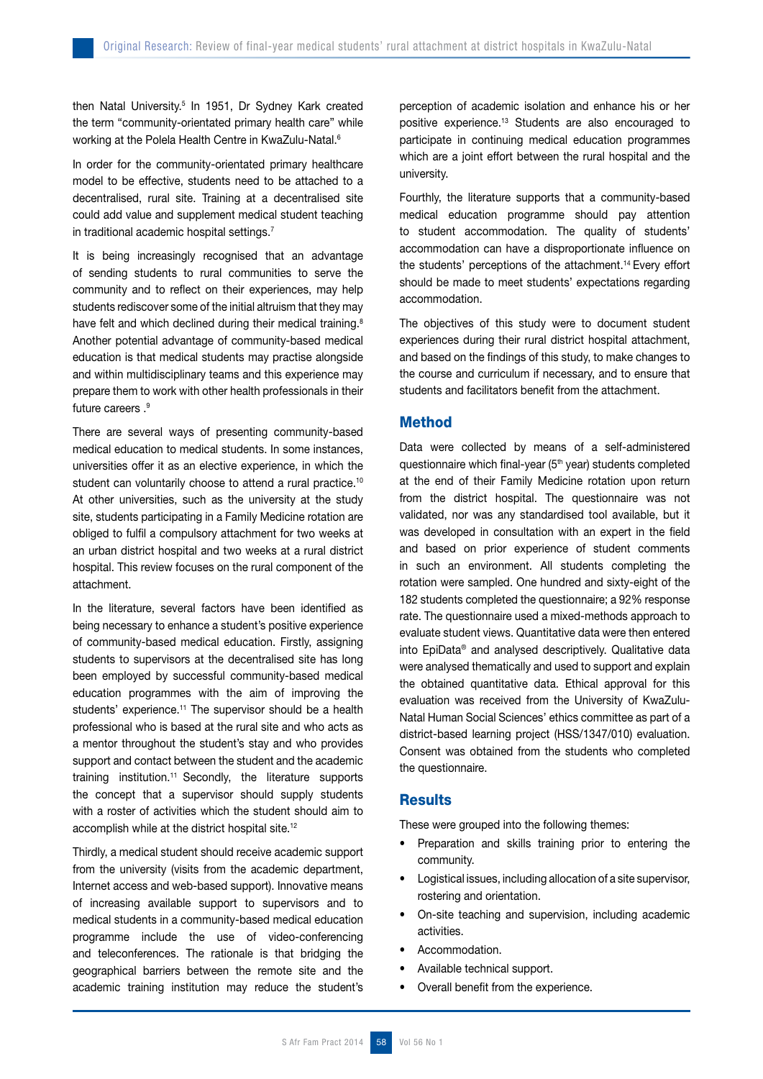then Natal University.<sup>5</sup> In 1951, Dr Sydney Kark created the term "community-orientated primary health care" while working at the Polela Health Centre in KwaZulu-Natal.<sup>6</sup>

In order for the community-orientated primary healthcare model to be effective, students need to be attached to a decentralised, rural site. Training at a decentralised site could add value and supplement medical student teaching in traditional academic hospital settings.7

It is being increasingly recognised that an advantage of sending students to rural communities to serve the community and to reflect on their experiences, may help students rediscover some of the initial altruism that they may have felt and which declined during their medical training.<sup>8</sup> Another potential advantage of community-based medical education is that medical students may practise alongside and within multidisciplinary teams and this experience may prepare them to work with other health professionals in their future careers .<sup>9</sup>

There are several ways of presenting community-based medical education to medical students. In some instances, universities offer it as an elective experience, in which the student can voluntarily choose to attend a rural practice.<sup>10</sup> At other universities, such as the university at the study site, students participating in a Family Medicine rotation are obliged to fulfil a compulsory attachment for two weeks at an urban district hospital and two weeks at a rural district hospital. This review focuses on the rural component of the attachment.

In the literature, several factors have been identified as being necessary to enhance a student's positive experience of community-based medical education. Firstly, assigning students to supervisors at the decentralised site has long been employed by successful community-based medical education programmes with the aim of improving the students' experience.<sup>11</sup> The supervisor should be a health professional who is based at the rural site and who acts as a mentor throughout the student's stay and who provides support and contact between the student and the academic training institution.11 Secondly, the literature supports the concept that a supervisor should supply students with a roster of activities which the student should aim to accomplish while at the district hospital site.<sup>12</sup>

Thirdly, a medical student should receive academic support from the university (visits from the academic department, Internet access and web-based support). Innovative means of increasing available support to supervisors and to medical students in a community-based medical education programme include the use of video-conferencing and teleconferences. The rationale is that bridging the geographical barriers between the remote site and the academic training institution may reduce the student's

perception of academic isolation and enhance his or her positive experience.13 Students are also encouraged to participate in continuing medical education programmes which are a joint effort between the rural hospital and the university.

Fourthly, the literature supports that a community-based medical education programme should pay attention to student accommodation. The quality of students' accommodation can have a disproportionate influence on the students' perceptions of the attachment.14 Every effort should be made to meet students' expectations regarding accommodation.

The objectives of this study were to document student experiences during their rural district hospital attachment, and based on the findings of this study, to make changes to the course and curriculum if necessary, and to ensure that students and facilitators benefit from the attachment.

# **Method**

Data were collected by means of a self-administered questionnaire which final-year (5<sup>th</sup> year) students completed at the end of their Family Medicine rotation upon return from the district hospital. The questionnaire was not validated, nor was any standardised tool available, but it was developed in consultation with an expert in the field and based on prior experience of student comments in such an environment. All students completing the rotation were sampled. One hundred and sixty-eight of the 182 students completed the questionnaire; a 92% response rate. The questionnaire used a mixed-methods approach to evaluate student views. Quantitative data were then entered into EpiData® and analysed descriptively. Qualitative data were analysed thematically and used to support and explain the obtained quantitative data. Ethical approval for this evaluation was received from the University of KwaZulu-Natal Human Social Sciences' ethics committee as part of a district-based learning project (HSS/1347/010) evaluation. Consent was obtained from the students who completed the questionnaire.

# **Results**

These were grouped into the following themes:

- • Preparation and skills training prior to entering the community.
- • Logistical issues, including allocation of a site supervisor, rostering and orientation.
- On-site teaching and supervision, including academic activities.
- Accommodation.
- • Available technical support.
- Overall benefit from the experience.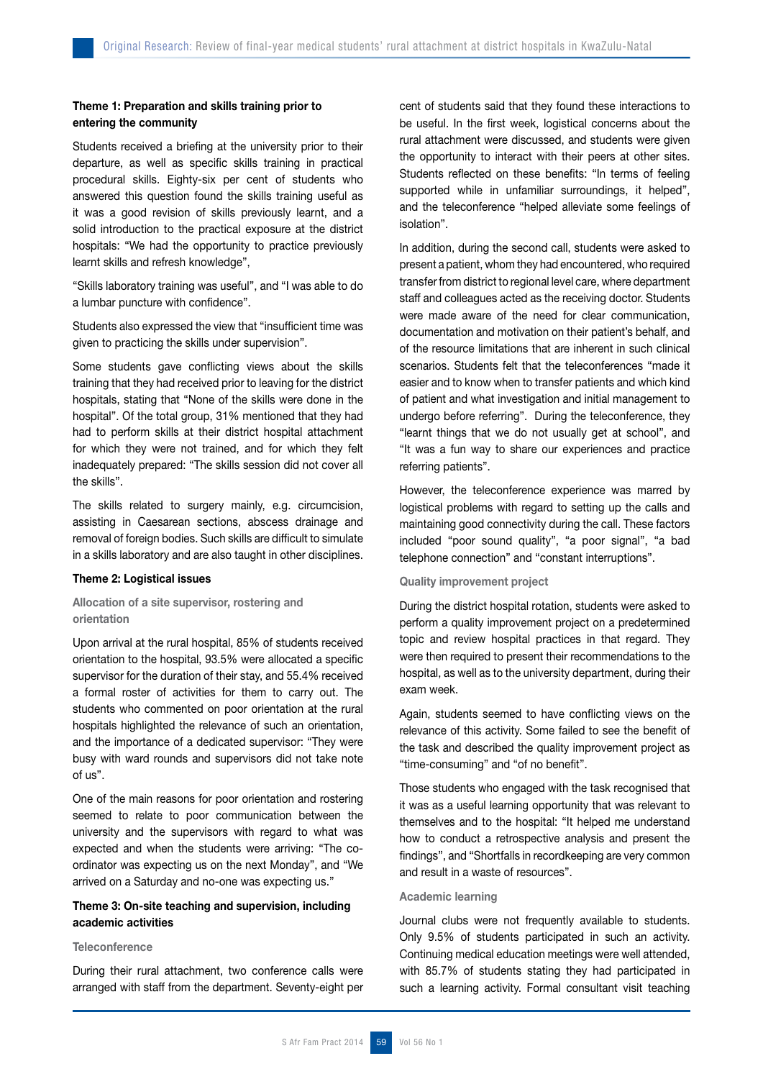# Theme 1: Preparation and skills training prior to entering the community

Students received a briefing at the university prior to their departure, as well as specific skills training in practical procedural skills. Eighty-six per cent of students who answered this question found the skills training useful as it was a good revision of skills previously learnt, and a solid introduction to the practical exposure at the district hospitals: "We had the opportunity to practice previously learnt skills and refresh knowledge",

"Skills laboratory training was useful", and "I was able to do a lumbar puncture with confidence".

Students also expressed the view that "insufficient time was given to practicing the skills under supervision".

Some students gave conflicting views about the skills training that they had received prior to leaving for the district hospitals, stating that "None of the skills were done in the hospital". Of the total group, 31% mentioned that they had had to perform skills at their district hospital attachment for which they were not trained, and for which they felt inadequately prepared: "The skills session did not cover all the skills".

The skills related to surgery mainly, e.g. circumcision, assisting in Caesarean sections, abscess drainage and removal of foreign bodies. Such skills are difficult to simulate in a skills laboratory and are also taught in other disciplines.

#### Theme 2: Logistical issues

#### Allocation of a site supervisor, rostering and orientation

Upon arrival at the rural hospital, 85% of students received orientation to the hospital, 93.5% were allocated a specific supervisor for the duration of their stay, and 55.4% received a formal roster of activities for them to carry out. The students who commented on poor orientation at the rural hospitals highlighted the relevance of such an orientation, and the importance of a dedicated supervisor: "They were busy with ward rounds and supervisors did not take note of us".

One of the main reasons for poor orientation and rostering seemed to relate to poor communication between the university and the supervisors with regard to what was expected and when the students were arriving: "The coordinator was expecting us on the next Monday", and "We arrived on a Saturday and no-one was expecting us."

# Theme 3: On-site teaching and supervision, including academic activities

# Teleconference

During their rural attachment, two conference calls were arranged with staff from the department. Seventy-eight per cent of students said that they found these interactions to be useful. In the first week, logistical concerns about the rural attachment were discussed, and students were given the opportunity to interact with their peers at other sites. Students reflected on these benefits: "In terms of feeling supported while in unfamiliar surroundings, it helped", and the teleconference "helped alleviate some feelings of isolation".

In addition, during the second call, students were asked to present a patient, whom they had encountered, who required transfer from district to regional level care, where department staff and colleagues acted as the receiving doctor. Students were made aware of the need for clear communication, documentation and motivation on their patient's behalf, and of the resource limitations that are inherent in such clinical scenarios. Students felt that the teleconferences "made it easier and to know when to transfer patients and which kind of patient and what investigation and initial management to undergo before referring". During the teleconference, they "learnt things that we do not usually get at school", and "It was a fun way to share our experiences and practice referring patients".

However, the teleconference experience was marred by logistical problems with regard to setting up the calls and maintaining good connectivity during the call. These factors included "poor sound quality", "a poor signal", "a bad telephone connection" and "constant interruptions".

#### Quality improvement project

During the district hospital rotation, students were asked to perform a quality improvement project on a predetermined topic and review hospital practices in that regard. They were then required to present their recommendations to the hospital, as well as to the university department, during their exam week.

Again, students seemed to have conflicting views on the relevance of this activity. Some failed to see the benefit of the task and described the quality improvement project as "time-consuming" and "of no benefit".

Those students who engaged with the task recognised that it was as a useful learning opportunity that was relevant to themselves and to the hospital: "It helped me understand how to conduct a retrospective analysis and present the findings", and "Shortfalls in recordkeeping are very common and result in a waste of resources".

# Academic learning

Journal clubs were not frequently available to students. Only 9.5% of students participated in such an activity. Continuing medical education meetings were well attended, with 85.7% of students stating they had participated in such a learning activity. Formal consultant visit teaching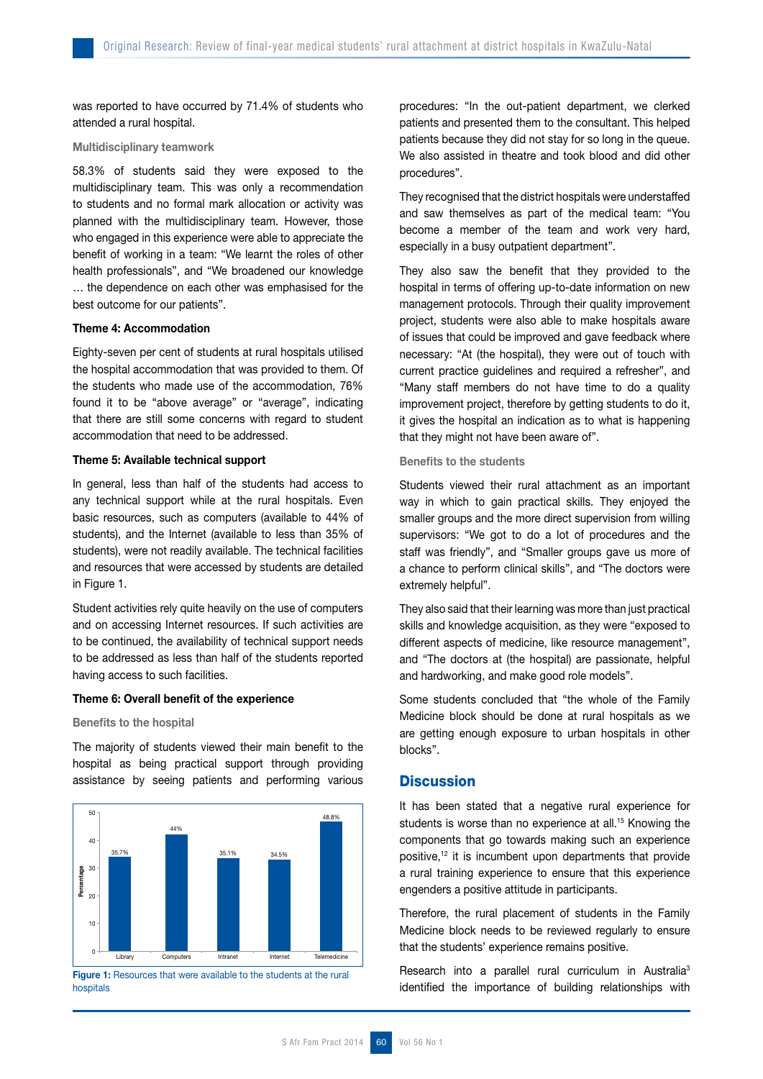was reported to have occurred by 71.4% of students who attended a rural hospital.

#### Multidisciplinary teamwork

58.3% of students said they were exposed to the multidisciplinary team. This was only a recommendation to students and no formal mark allocation or activity was planned with the multidisciplinary team. However, those who engaged in this experience were able to appreciate the benefit of working in a team: "We learnt the roles of other health professionals", and "We broadened our knowledge … the dependence on each other was emphasised for the best outcome for our patients".

# Theme 4: Accommodation

Eighty-seven per cent of students at rural hospitals utilised the hospital accommodation that was provided to them. Of the students who made use of the accommodation, 76% found it to be "above average" or "average", indicating that there are still some concerns with regard to student accommodation that need to be addressed.

#### Theme 5: Available technical support

In general, less than half of the students had access to any technical support while at the rural hospitals. Even basic resources, such as computers (available to 44% of students), and the Internet (available to less than 35% of students), were not readily available. The technical facilities and resources that were accessed by students are detailed in Figure 1.

Student activities rely quite heavily on the use of computers and on accessing Internet resources. If such activities are to be continued, the availability of technical support needs to be addressed as less than half of the students reported having access to such facilities.

#### Theme 6: Overall benefit of the experience

#### Benefits to the hospital

The majority of students viewed their main benefit to the hospital as being practical support through providing assistance by seeing patients and performing various



Figure 1: Resources that were available to the students at the rural hospitals

procedures: "In the out-patient department, we clerked patients and presented them to the consultant. This helped patients because they did not stay for so long in the queue. We also assisted in theatre and took blood and did other procedures".

They recognised that the district hospitals were understaffed and saw themselves as part of the medical team: "You become a member of the team and work very hard, especially in a busy outpatient department".

They also saw the benefit that they provided to the hospital in terms of offering up-to-date information on new management protocols. Through their quality improvement project, students were also able to make hospitals aware of issues that could be improved and gave feedback where necessary: "At (the hospital), they were out of touch with current practice guidelines and required a refresher", and "Many staff members do not have time to do a quality improvement project, therefore by getting students to do it, it gives the hospital an indication as to what is happening that they might not have been aware of".

# Benefits to the students

Students viewed their rural attachment as an important way in which to gain practical skills. They enjoyed the smaller groups and the more direct supervision from willing supervisors: "We got to do a lot of procedures and the staff was friendly", and "Smaller groups gave us more of a chance to perform clinical skills", and "The doctors were extremely helpful".

They also said that their learning was more than just practical skills and knowledge acquisition, as they were "exposed to different aspects of medicine, like resource management", and "The doctors at (the hospital) are passionate, helpful and hardworking, and make good role models".

Some students concluded that "the whole of the Family Medicine block should be done at rural hospitals as we are getting enough exposure to urban hospitals in other blocks".

# **Discussion**

It has been stated that a negative rural experience for students is worse than no experience at all.<sup>15</sup> Knowing the components that go towards making such an experience positive,12 it is incumbent upon departments that provide a rural training experience to ensure that this experience engenders a positive attitude in participants.

Therefore, the rural placement of students in the Family Medicine block needs to be reviewed regularly to ensure that the students' experience remains positive.

Research into a parallel rural curriculum in Australia<sup>3</sup> identified the importance of building relationships with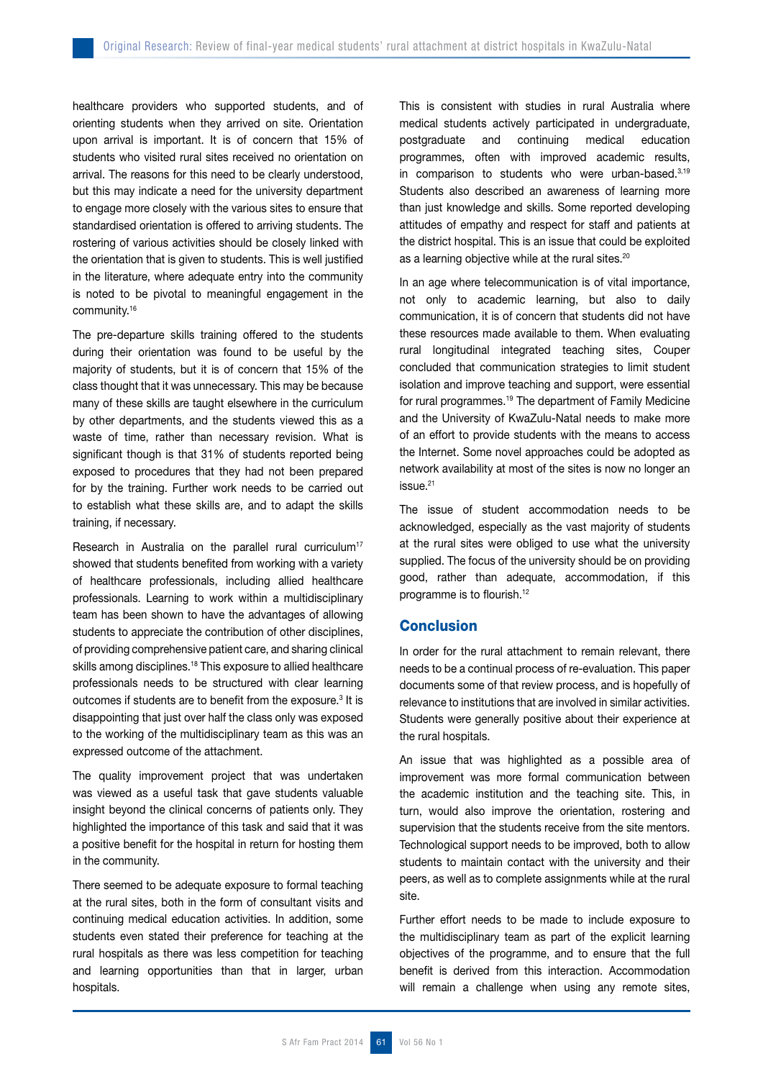healthcare providers who supported students, and of orienting students when they arrived on site. Orientation upon arrival is important. It is of concern that 15% of students who visited rural sites received no orientation on arrival. The reasons for this need to be clearly understood, but this may indicate a need for the university department to engage more closely with the various sites to ensure that standardised orientation is offered to arriving students. The rostering of various activities should be closely linked with the orientation that is given to students. This is well justified in the literature, where adequate entry into the community is noted to be pivotal to meaningful engagement in the community.16

The pre-departure skills training offered to the students during their orientation was found to be useful by the majority of students, but it is of concern that 15% of the class thought that it was unnecessary. This may be because many of these skills are taught elsewhere in the curriculum by other departments, and the students viewed this as a waste of time, rather than necessary revision. What is significant though is that 31% of students reported being exposed to procedures that they had not been prepared for by the training. Further work needs to be carried out to establish what these skills are, and to adapt the skills training, if necessary.

Research in Australia on the parallel rural curriculum<sup>17</sup> showed that students benefited from working with a variety of healthcare professionals, including allied healthcare professionals. Learning to work within a multidisciplinary team has been shown to have the advantages of allowing students to appreciate the contribution of other disciplines, of providing comprehensive patient care, and sharing clinical skills among disciplines.<sup>18</sup> This exposure to allied healthcare professionals needs to be structured with clear learning outcomes if students are to benefit from the exposure.<sup>3</sup> It is disappointing that just over half the class only was exposed to the working of the multidisciplinary team as this was an expressed outcome of the attachment.

The quality improvement project that was undertaken was viewed as a useful task that gave students valuable insight beyond the clinical concerns of patients only. They highlighted the importance of this task and said that it was a positive benefit for the hospital in return for hosting them in the community.

There seemed to be adequate exposure to formal teaching at the rural sites, both in the form of consultant visits and continuing medical education activities. In addition, some students even stated their preference for teaching at the rural hospitals as there was less competition for teaching and learning opportunities than that in larger, urban hospitals.

This is consistent with studies in rural Australia where medical students actively participated in undergraduate, postgraduate and continuing medical education programmes, often with improved academic results, in comparison to students who were urban-based.<sup>3,19</sup> Students also described an awareness of learning more than just knowledge and skills. Some reported developing attitudes of empathy and respect for staff and patients at the district hospital. This is an issue that could be exploited as a learning objective while at the rural sites.<sup>20</sup>

In an age where telecommunication is of vital importance, not only to academic learning, but also to daily communication, it is of concern that students did not have these resources made available to them. When evaluating rural longitudinal integrated teaching sites, Couper concluded that communication strategies to limit student isolation and improve teaching and support, were essential for rural programmes.19 The department of Family Medicine and the University of KwaZulu-Natal needs to make more of an effort to provide students with the means to access the Internet. Some novel approaches could be adopted as network availability at most of the sites is now no longer an issue.<sup>21</sup>

The issue of student accommodation needs to be acknowledged, especially as the vast majority of students at the rural sites were obliged to use what the university supplied. The focus of the university should be on providing good, rather than adequate, accommodation, if this programme is to flourish.12

# Conclusion

In order for the rural attachment to remain relevant, there needs to be a continual process of re-evaluation. This paper documents some of that review process, and is hopefully of relevance to institutions that are involved in similar activities. Students were generally positive about their experience at the rural hospitals.

An issue that was highlighted as a possible area of improvement was more formal communication between the academic institution and the teaching site. This, in turn, would also improve the orientation, rostering and supervision that the students receive from the site mentors. Technological support needs to be improved, both to allow students to maintain contact with the university and their peers, as well as to complete assignments while at the rural site.

Further effort needs to be made to include exposure to the multidisciplinary team as part of the explicit learning objectives of the programme, and to ensure that the full benefit is derived from this interaction. Accommodation will remain a challenge when using any remote sites,